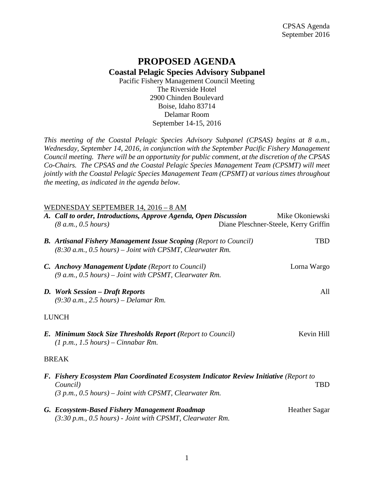## **PROPOSED AGENDA Coastal Pelagic Species Advisory Subpanel**

Pacific Fishery Management Council Meeting The Riverside Hotel 2900 Chinden Boulevard Boise, Idaho 83714 Delamar Room September 14-15, 2016

*This meeting of the Coastal Pelagic Species Advisory Subpanel (CPSAS) begins at 8 a.m., Wednesday, September 14, 2016, in conjunction with the September Pacific Fishery Management Council meeting. There will be an opportunity for public comment, at the discretion of the CPSAS Co-Chairs. The CPSAS and the Coastal Pelagic Species Management Team (CPSMT) will meet jointly with the Coastal Pelagic Species Management Team (CPSMT) at various times throughout the meeting, as indicated in the agenda below.*

## WEDNESDAY SEPTEMBER 14, 2016 – 8 AM

| A. Call to order, Introductions, Approve Agenda, Open Discussion<br>(8 a.m., 0.5 hours)                                                                                      |  | Mike Okoniewski<br>Diane Pleschner-Steele, Kerry Griffin |
|------------------------------------------------------------------------------------------------------------------------------------------------------------------------------|--|----------------------------------------------------------|
| <b>B.</b> Artisanal Fishery Management Issue Scoping (Report to Council)<br>$(8:30 a.m., 0.5 hours) - Joint with CPSMT, Clearwater Rm.$                                      |  | <b>TBD</b>                                               |
| <b>C.</b> Anchovy Management Update (Report to Council)<br>$(9 a.m., 0.5 hours) - Joint with CPSMT, Clearwater Rm.$                                                          |  | Lorna Wargo                                              |
| D. Work Session – Draft Reports<br>$(9:30 a.m., 2.5 hours) - Delamar Rm.$                                                                                                    |  | All                                                      |
| <b>LUNCH</b>                                                                                                                                                                 |  |                                                          |
| <b>E. Minimum Stock Size Thresholds Report (Report to Council)</b><br>$(1 p.m., 1.5 hours) - Cinnabar Rm.$                                                                   |  | Kevin Hill                                               |
| <b>BREAK</b>                                                                                                                                                                 |  |                                                          |
| F. Fishery Ecosystem Plan Coordinated Ecosystem Indicator Review Initiative (Report to<br><b>TBD</b><br>Council)<br>$(3 p.m., 0.5 hours) - Joint with CPSMT, Clearwater Rm.$ |  |                                                          |
| G. Ecosystem-Based Fishery Management Roadmap<br>$(3:30 \text{ p.m.}, 0.5 \text{ hours})$ - Joint with CPSMT, Clearwater Rm.                                                 |  | <b>Heather Sagar</b>                                     |